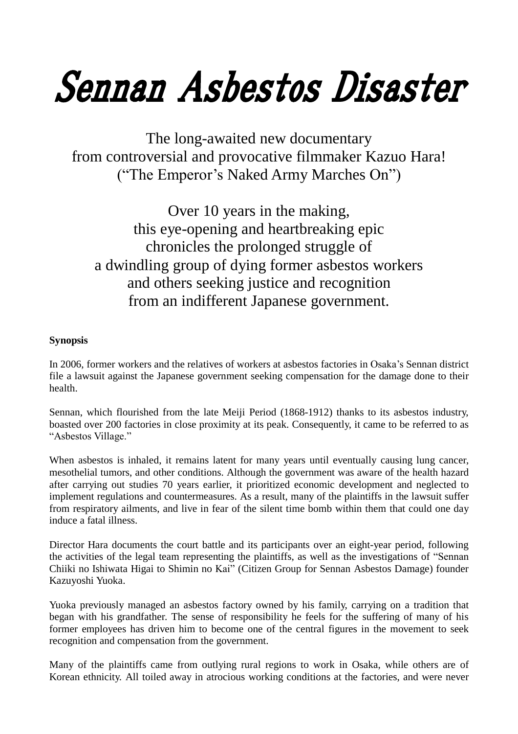# Sennan Asbestos Disaster

The long-awaited new documentary from controversial and provocative filmmaker Kazuo Hara! ("The Emperor's Naked Army Marches On")

Over 10 years in the making, this eye-opening and heartbreaking epic chronicles the prolonged struggle of a dwindling group of dying former asbestos workers and others seeking justice and recognition from an indifferent Japanese government.

## **Synopsis**

In 2006, former workers and the relatives of workers at asbestos factories in Osaka's Sennan district file a lawsuit against the Japanese government seeking compensation for the damage done to their health.

Sennan, which flourished from the late Meiji Period (1868-1912) thanks to its asbestos industry, boasted over 200 factories in close proximity at its peak. Consequently, it came to be referred to as "Asbestos Village."

When asbestos is inhaled, it remains latent for many years until eventually causing lung cancer, mesothelial tumors, and other conditions. Although the government was aware of the health hazard after carrying out studies 70 years earlier, it prioritized economic development and neglected to implement regulations and countermeasures. As a result, many of the plaintiffs in the lawsuit suffer from respiratory ailments, and live in fear of the silent time bomb within them that could one day induce a fatal illness.

Director Hara documents the court battle and its participants over an eight-year period, following the activities of the legal team representing the plaintiffs, as well as the investigations of "Sennan Chiiki no Ishiwata Higai to Shimin no Kai" (Citizen Group for Sennan Asbestos Damage) founder Kazuyoshi Yuoka.

Yuoka previously managed an asbestos factory owned by his family, carrying on a tradition that began with his grandfather. The sense of responsibility he feels for the suffering of many of his former employees has driven him to become one of the central figures in the movement to seek recognition and compensation from the government.

Many of the plaintiffs came from outlying rural regions to work in Osaka, while others are of Korean ethnicity. All toiled away in atrocious working conditions at the factories, and were never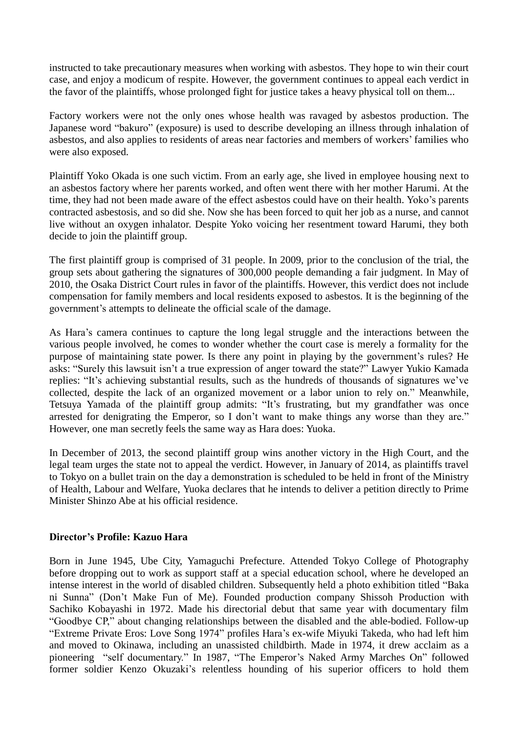instructed to take precautionary measures when working with asbestos. They hope to win their court case, and enjoy a modicum of respite. However, the government continues to appeal each verdict in the favor of the plaintiffs, whose prolonged fight for justice takes a heavy physical toll on them...

Factory workers were not the only ones whose health was ravaged by asbestos production. The Japanese word "bakuro" (exposure) is used to describe developing an illness through inhalation of asbestos, and also applies to residents of areas near factories and members of workers' families who were also exposed.

Plaintiff Yoko Okada is one such victim. From an early age, she lived in employee housing next to an asbestos factory where her parents worked, and often went there with her mother Harumi. At the time, they had not been made aware of the effect asbestos could have on their health. Yoko's parents contracted asbestosis, and so did she. Now she has been forced to quit her job as a nurse, and cannot live without an oxygen inhalator. Despite Yoko voicing her resentment toward Harumi, they both decide to join the plaintiff group.

The first plaintiff group is comprised of 31 people. In 2009, prior to the conclusion of the trial, the group sets about gathering the signatures of 300,000 people demanding a fair judgment. In May of 2010, the Osaka District Court rules in favor of the plaintiffs. However, this verdict does not include compensation for family members and local residents exposed to asbestos. It is the beginning of the government's attempts to delineate the official scale of the damage.

As Hara's camera continues to capture the long legal struggle and the interactions between the various people involved, he comes to wonder whether the court case is merely a formality for the purpose of maintaining state power. Is there any point in playing by the government's rules? He asks: "Surely this lawsuit isn't a true expression of anger toward the state?" Lawyer Yukio Kamada replies: "It's achieving substantial results, such as the hundreds of thousands of signatures we've collected, despite the lack of an organized movement or a labor union to rely on." Meanwhile, Tetsuya Yamada of the plaintiff group admits: "It's frustrating, but my grandfather was once arrested for denigrating the Emperor, so I don't want to make things any worse than they are." However, one man secretly feels the same way as Hara does: Yuoka.

In December of 2013, the second plaintiff group wins another victory in the High Court, and the legal team urges the state not to appeal the verdict. However, in January of 2014, as plaintiffs travel to Tokyo on a bullet train on the day a demonstration is scheduled to be held in front of the Ministry of Health, Labour and Welfare, Yuoka declares that he intends to deliver a petition directly to Prime Minister Shinzo Abe at his official residence.

### **Director's Profile: Kazuo Hara**

Born in June 1945, Ube City, Yamaguchi Prefecture. Attended Tokyo College of Photography before dropping out to work as support staff at a special education school, where he developed an intense interest in the world of disabled children. Subsequently held a photo exhibition titled "Baka ni Sunna" (Don't Make Fun of Me). Founded production company Shissoh Production with Sachiko Kobayashi in 1972. Made his directorial debut that same year with documentary film "Goodbye CP," about changing relationships between the disabled and the able-bodied. Follow-up "Extreme Private Eros: Love Song 1974" profiles Hara's ex-wife Miyuki Takeda, who had left him and moved to Okinawa, including an unassisted childbirth. Made in 1974, it drew acclaim as a pioneering "self documentary." In 1987, "The Emperor's Naked Army Marches On" followed former soldier Kenzo Okuzaki's relentless hounding of his superior officers to hold them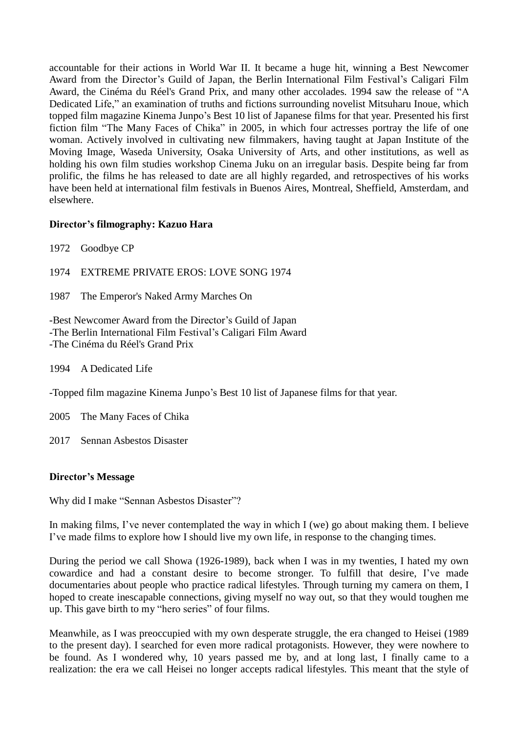accountable for their actions in World War II. It became a huge hit, winning a Best Newcomer Award from the Director's Guild of Japan, the Berlin International Film Festival's Caligari Film Award, the Cinéma du Réel's Grand Prix, and many other accolades. 1994 saw the release of "A Dedicated Life," an examination of truths and fictions surrounding novelist Mitsuharu Inoue, which topped film magazine Kinema Junpo's Best 10 list of Japanese films for that year. Presented his first fiction film "The Many Faces of Chika" in 2005, in which four actresses portray the life of one woman. Actively involved in cultivating new filmmakers, having taught at Japan Institute of the Moving Image, Waseda University, Osaka University of Arts, and other institutions, as well as holding his own film studies workshop Cinema Juku on an irregular basis. Despite being far from prolific, the films he has released to date are all highly regarded, and retrospectives of his works have been held at international film festivals in Buenos Aires, Montreal, Sheffield, Amsterdam, and elsewhere.

### **Director's filmography: Kazuo Hara**

1972 Goodbye CP

1974 EXTREME PRIVATE EROS: LOVE SONG 1974

1987 The Emperor's Naked Army Marches On

-Best Newcomer Award from the Director's Guild of Japan -The Berlin International Film Festival's Caligari Film Award -The Cinéma du Réel's Grand Prix

1994 A Dedicated Life

-Topped film magazine Kinema Junpo's Best 10 list of Japanese films for that year.

2005 The Many Faces of Chika

2017 Sennan Asbestos Disaster

#### **Director's Message**

Why did I make "Sennan Asbestos Disaster"?

In making films, I've never contemplated the way in which I (we) go about making them. I believe I've made films to explore how I should live my own life, in response to the changing times.

During the period we call Showa (1926-1989), back when I was in my twenties, I hated my own cowardice and had a constant desire to become stronger. To fulfill that desire, I've made documentaries about people who practice radical lifestyles. Through turning my camera on them, I hoped to create inescapable connections, giving myself no way out, so that they would toughen me up. This gave birth to my "hero series" of four films.

Meanwhile, as I was preoccupied with my own desperate struggle, the era changed to Heisei (1989 to the present day). I searched for even more radical protagonists. However, they were nowhere to be found. As I wondered why, 10 years passed me by, and at long last, I finally came to a realization: the era we call Heisei no longer accepts radical lifestyles. This meant that the style of